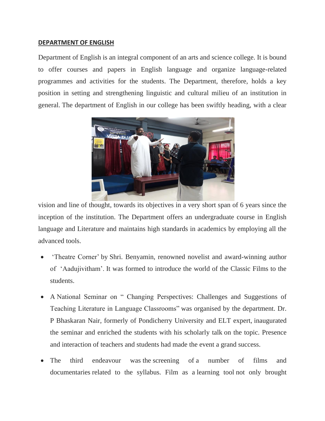## **DEPARTMENT OF ENGLISH**

Department of English is an integral component of an arts and science college. It is bound to offer courses and papers in English language and organize language-related programmes and activities for the students. The Department, therefore, holds a key position in setting and strengthening linguistic and cultural milieu of an institution in general. The department of English in our college has been swiftly heading, with a clear



vision and line of thought, towards its objectives in a very short span of 6 years since the inception of the institution. The Department offers an undergraduate course in English language and Literature and maintains high standards in academics by employing all the advanced tools.

- 'Theatre Corner' by Shri. Benyamin, renowned novelist and award-winning author of "Aadujivitham". It was formed to introduce the world of the Classic Films to the students.
- A National Seminar on " Changing Perspectives: Challenges and Suggestions of Teaching Literature in Language Classrooms" was organised by the department. Dr. P Bhaskaran Nair, formerly of Pondicherry University and ELT expert, inaugurated the seminar and enriched the students with his scholarly talk on the topic. Presence and interaction of teachers and students had made the event a grand success.
- The third endeavour was the screening of a number of films and documentaries related to the syllabus. Film as a learning tool not only brought